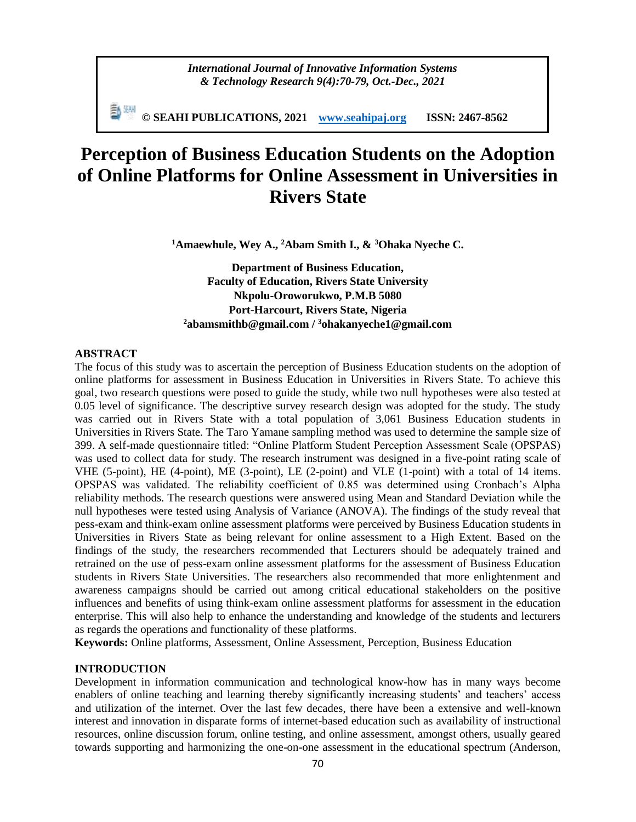**© SEAHI PUBLICATIONS, 2021 [www.seahipaj.org](http://www.seahipaj.org/) ISSN: 2467-8562**

# **Perception of Business Education Students on the Adoption of Online Platforms for Online Assessment in Universities in Rivers State**

**<sup>1</sup>Amaewhule, Wey A., <sup>2</sup>Abam Smith I., & <sup>3</sup>Ohaka Nyeche C.**

**Department of Business Education, Faculty of Education, Rivers State University Nkpolu-Oroworukwo, P.M.B 5080 Port-Harcourt, Rivers State, Nigeria <sup>2</sup>[abamsmithb@gmail.com](mailto:abamsmithb@gmail.com) / <sup>3</sup>[ohakanyeche1@gmail.com](mailto:3ohakanyeche1@gmail.com)**

## **ABSTRACT**

The focus of this study was to ascertain the perception of Business Education students on the adoption of online platforms for assessment in Business Education in Universities in Rivers State. To achieve this goal, two research questions were posed to guide the study, while two null hypotheses were also tested at 0.05 level of significance. The descriptive survey research design was adopted for the study. The study was carried out in Rivers State with a total population of 3,061 Business Education students in Universities in Rivers State. The Taro Yamane sampling method was used to determine the sample size of 399. A self-made questionnaire titled: "Online Platform Student Perception Assessment Scale (OPSPAS) was used to collect data for study. The research instrument was designed in a five-point rating scale of VHE (5-point), HE (4-point), ME (3-point), LE (2-point) and VLE (1-point) with a total of 14 items. OPSPAS was validated. The reliability coefficient of 0.85 was determined using Cronbach's Alpha reliability methods. The research questions were answered using Mean and Standard Deviation while the null hypotheses were tested using Analysis of Variance (ANOVA). The findings of the study reveal that pess-exam and think-exam online assessment platforms were perceived by Business Education students in Universities in Rivers State as being relevant for online assessment to a High Extent. Based on the findings of the study, the researchers recommended that Lecturers should be adequately trained and retrained on the use of pess-exam online assessment platforms for the assessment of Business Education students in Rivers State Universities. The researchers also recommended that more enlightenment and awareness campaigns should be carried out among critical educational stakeholders on the positive influences and benefits of using think-exam online assessment platforms for assessment in the education enterprise. This will also help to enhance the understanding and knowledge of the students and lecturers as regards the operations and functionality of these platforms.

**Keywords:** Online platforms, Assessment, Online Assessment, Perception, Business Education

# **INTRODUCTION**

Development in information communication and technological know-how has in many ways become enablers of online teaching and learning thereby significantly increasing students' and teachers' access and utilization of the internet. Over the last few decades, there have been a extensive and well-known interest and innovation in disparate forms of internet-based education such as availability of instructional resources, online discussion forum, online testing, and online assessment, amongst others, usually geared towards supporting and harmonizing the one-on-one assessment in the educational spectrum (Anderson,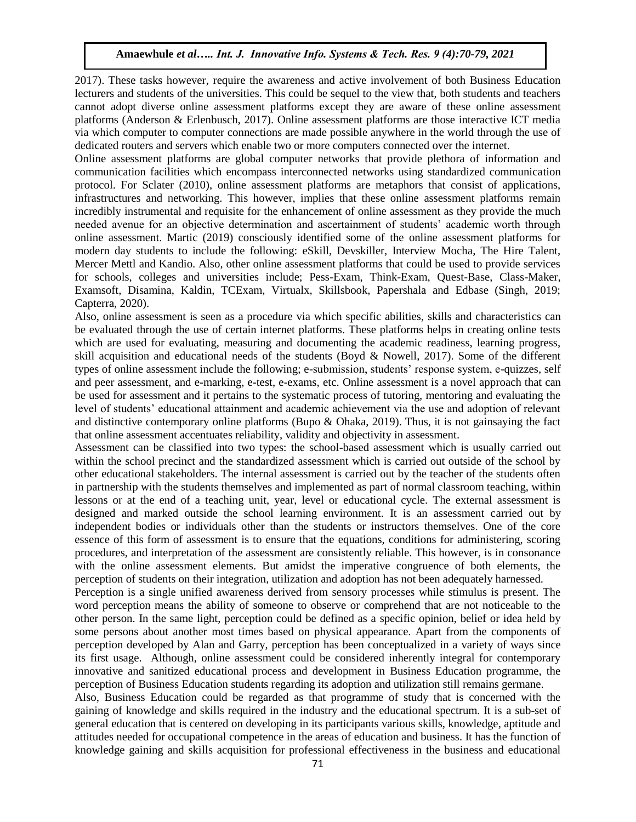2017). These tasks however, require the awareness and active involvement of both Business Education lecturers and students of the universities. This could be sequel to the view that, both students and teachers cannot adopt diverse online assessment platforms except they are aware of these online assessment platforms (Anderson & Erlenbusch, 2017). Online assessment platforms are those interactive ICT media via which computer to computer connections are made possible anywhere in the world through the use of dedicated routers and servers which enable two or more computers connected over the internet.

Online assessment platforms are global computer networks that provide plethora of information and communication facilities which encompass interconnected networks using standardized communication protocol. For Sclater (2010), online assessment platforms are metaphors that consist of applications, infrastructures and networking. This however, implies that these online assessment platforms remain incredibly instrumental and requisite for the enhancement of online assessment as they provide the much needed avenue for an objective determination and ascertainment of students' academic worth through online assessment. Martic (2019) consciously identified some of the online assessment platforms for modern day students to include the following: eSkill, Devskiller, Interview Mocha, The Hire Talent, Mercer Mettl and Kandio. Also, other online assessment platforms that could be used to provide services for schools, colleges and universities include; Pess-Exam, Think-Exam, Quest-Base, Class-Maker, Examsoft, Disamina, Kaldin, TCExam, Virtualx, Skillsbook, Papershala and Edbase (Singh, 2019; Capterra, 2020).

Also, online assessment is seen as a procedure via which specific abilities, skills and characteristics can be evaluated through the use of certain internet platforms. These platforms helps in creating online tests which are used for evaluating, measuring and documenting the academic readiness, learning progress, skill acquisition and educational needs of the students (Boyd & Nowell, 2017). Some of the different types of online assessment include the following; e-submission, students' response system, e-quizzes, self and peer assessment, and e-marking, e-test, e-exams, etc. Online assessment is a novel approach that can be used for assessment and it pertains to the systematic process of tutoring, mentoring and evaluating the level of students' educational attainment and academic achievement via the use and adoption of relevant and distinctive contemporary online platforms (Bupo & Ohaka, 2019). Thus, it is not gainsaying the fact that online assessment accentuates reliability, validity and objectivity in assessment.

Assessment can be classified into two types: the school-based assessment which is usually carried out within the school precinct and the standardized assessment which is carried out outside of the school by other educational stakeholders. The internal assessment is carried out by the teacher of the students often in partnership with the students themselves and implemented as part of normal classroom teaching, within lessons or at the end of a teaching unit, year, level or educational cycle. The external assessment is designed and marked outside the school learning environment. It is an assessment carried out by independent bodies or individuals other than the students or instructors themselves. One of the core essence of this form of assessment is to ensure that the equations, conditions for administering, scoring procedures, and interpretation of the assessment are consistently reliable. This however, is in consonance with the online assessment elements. But amidst the imperative congruence of both elements, the perception of students on their integration, utilization and adoption has not been adequately harnessed.

Perception is a single unified awareness derived from sensory processes while stimulus is present. The word perception means the ability of someone to observe or comprehend that are not noticeable to the other person. In the same light, perception could be defined as a specific opinion, belief or idea held by some persons about another most times based on physical appearance. Apart from the components of perception developed by Alan and Garry, perception has been conceptualized in a variety of ways since its first usage. Although, online assessment could be considered inherently integral for contemporary innovative and sanitized educational process and development in Business Education programme, the perception of Business Education students regarding its adoption and utilization still remains germane.

Also, Business Education could be regarded as that programme of study that is concerned with the gaining of knowledge and skills required in the industry and the educational spectrum. It is a sub-set of general education that is centered on developing in its participants various skills, knowledge, aptitude and attitudes needed for occupational competence in the areas of education and business. It has the function of knowledge gaining and skills acquisition for professional effectiveness in the business and educational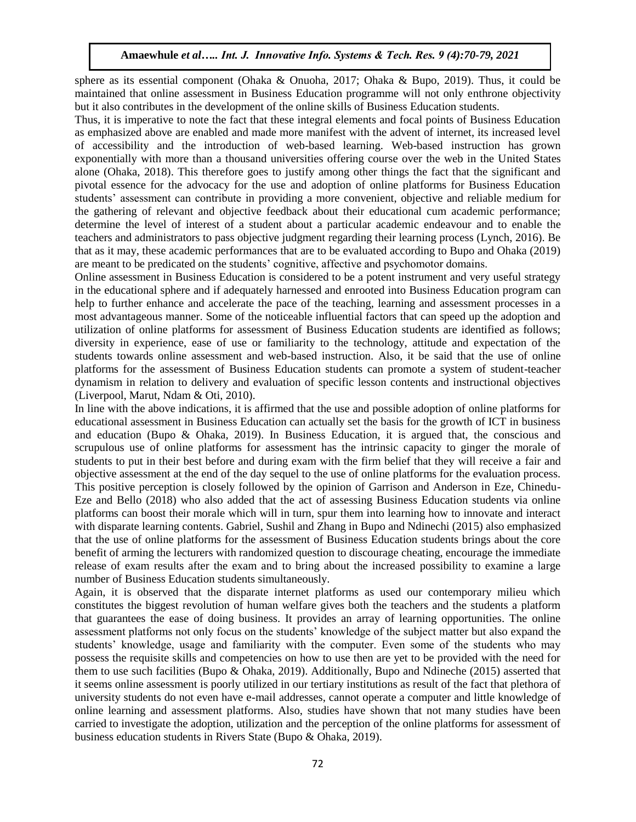sphere as its essential component (Ohaka & Onuoha, 2017; Ohaka & Bupo, 2019). Thus, it could be maintained that online assessment in Business Education programme will not only enthrone objectivity but it also contributes in the development of the online skills of Business Education students.

Thus, it is imperative to note the fact that these integral elements and focal points of Business Education as emphasized above are enabled and made more manifest with the advent of internet, its increased level of accessibility and the introduction of web-based learning. Web-based instruction has grown exponentially with more than a thousand universities offering course over the web in the United States alone (Ohaka, 2018). This therefore goes to justify among other things the fact that the significant and pivotal essence for the advocacy for the use and adoption of online platforms for Business Education students' assessment can contribute in providing a more convenient, objective and reliable medium for the gathering of relevant and objective feedback about their educational cum academic performance; determine the level of interest of a student about a particular academic endeavour and to enable the teachers and administrators to pass objective judgment regarding their learning process (Lynch, 2016). Be that as it may, these academic performances that are to be evaluated according to Bupo and Ohaka (2019) are meant to be predicated on the students' cognitive, affective and psychomotor domains.

Online assessment in Business Education is considered to be a potent instrument and very useful strategy in the educational sphere and if adequately harnessed and enrooted into Business Education program can help to further enhance and accelerate the pace of the teaching, learning and assessment processes in a most advantageous manner. Some of the noticeable influential factors that can speed up the adoption and utilization of online platforms for assessment of Business Education students are identified as follows; diversity in experience, ease of use or familiarity to the technology, attitude and expectation of the students towards online assessment and web-based instruction. Also, it be said that the use of online platforms for the assessment of Business Education students can promote a system of student-teacher dynamism in relation to delivery and evaluation of specific lesson contents and instructional objectives (Liverpool, Marut, Ndam & Oti, 2010).

In line with the above indications, it is affirmed that the use and possible adoption of online platforms for educational assessment in Business Education can actually set the basis for the growth of ICT in business and education (Bupo & Ohaka, 2019). In Business Education, it is argued that, the conscious and scrupulous use of online platforms for assessment has the intrinsic capacity to ginger the morale of students to put in their best before and during exam with the firm belief that they will receive a fair and objective assessment at the end of the day sequel to the use of online platforms for the evaluation process. This positive perception is closely followed by the opinion of Garrison and Anderson in Eze, Chinedu-Eze and Bello (2018) who also added that the act of assessing Business Education students via online platforms can boost their morale which will in turn, spur them into learning how to innovate and interact with disparate learning contents. Gabriel, Sushil and Zhang in Bupo and Ndinechi (2015) also emphasized that the use of online platforms for the assessment of Business Education students brings about the core benefit of arming the lecturers with randomized question to discourage cheating, encourage the immediate release of exam results after the exam and to bring about the increased possibility to examine a large number of Business Education students simultaneously.

Again, it is observed that the disparate internet platforms as used our contemporary milieu which constitutes the biggest revolution of human welfare gives both the teachers and the students a platform that guarantees the ease of doing business. It provides an array of learning opportunities. The online assessment platforms not only focus on the students' knowledge of the subject matter but also expand the students' knowledge, usage and familiarity with the computer. Even some of the students who may possess the requisite skills and competencies on how to use then are yet to be provided with the need for them to use such facilities (Bupo & Ohaka, 2019). Additionally, Bupo and Ndineche (2015) asserted that it seems online assessment is poorly utilized in our tertiary institutions as result of the fact that plethora of university students do not even have e-mail addresses, cannot operate a computer and little knowledge of online learning and assessment platforms. Also, studies have shown that not many studies have been carried to investigate the adoption, utilization and the perception of the online platforms for assessment of business education students in Rivers State (Bupo & Ohaka, 2019).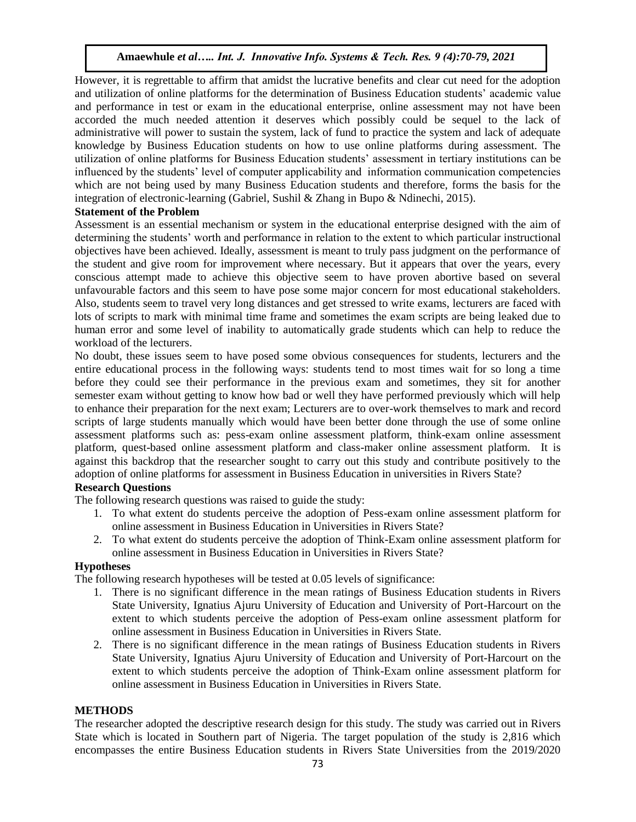However, it is regrettable to affirm that amidst the lucrative benefits and clear cut need for the adoption and utilization of online platforms for the determination of Business Education students' academic value and performance in test or exam in the educational enterprise, online assessment may not have been accorded the much needed attention it deserves which possibly could be sequel to the lack of administrative will power to sustain the system, lack of fund to practice the system and lack of adequate knowledge by Business Education students on how to use online platforms during assessment. The utilization of online platforms for Business Education students' assessment in tertiary institutions can be influenced by the students' level of computer applicability and information communication competencies which are not being used by many Business Education students and therefore, forms the basis for the integration of electronic-learning (Gabriel, Sushil & Zhang in Bupo & Ndinechi, 2015).

## **Statement of the Problem**

Assessment is an essential mechanism or system in the educational enterprise designed with the aim of determining the students' worth and performance in relation to the extent to which particular instructional objectives have been achieved. Ideally, assessment is meant to truly pass judgment on the performance of the student and give room for improvement where necessary. But it appears that over the years, every conscious attempt made to achieve this objective seem to have proven abortive based on several unfavourable factors and this seem to have pose some major concern for most educational stakeholders. Also, students seem to travel very long distances and get stressed to write exams, lecturers are faced with lots of scripts to mark with minimal time frame and sometimes the exam scripts are being leaked due to human error and some level of inability to automatically grade students which can help to reduce the workload of the lecturers.

No doubt, these issues seem to have posed some obvious consequences for students, lecturers and the entire educational process in the following ways: students tend to most times wait for so long a time before they could see their performance in the previous exam and sometimes, they sit for another semester exam without getting to know how bad or well they have performed previously which will help to enhance their preparation for the next exam; Lecturers are to over-work themselves to mark and record scripts of large students manually which would have been better done through the use of some online assessment platforms such as: pess-exam online assessment platform, think-exam online assessment platform, quest-based online assessment platform and class-maker online assessment platform. It is against this backdrop that the researcher sought to carry out this study and contribute positively to the adoption of online platforms for assessment in Business Education in universities in Rivers State?

# **Research Questions**

The following research questions was raised to guide the study:

- 1. To what extent do students perceive the adoption of Pess-exam online assessment platform for online assessment in Business Education in Universities in Rivers State?
- 2. To what extent do students perceive the adoption of Think-Exam online assessment platform for online assessment in Business Education in Universities in Rivers State?

#### **Hypotheses**

The following research hypotheses will be tested at 0.05 levels of significance:

- 1. There is no significant difference in the mean ratings of Business Education students in Rivers State University, Ignatius Ajuru University of Education and University of Port-Harcourt on the extent to which students perceive the adoption of Pess-exam online assessment platform for online assessment in Business Education in Universities in Rivers State.
- 2. There is no significant difference in the mean ratings of Business Education students in Rivers State University, Ignatius Ajuru University of Education and University of Port-Harcourt on the extent to which students perceive the adoption of Think-Exam online assessment platform for online assessment in Business Education in Universities in Rivers State.

#### **METHODS**

The researcher adopted the descriptive research design for this study. The study was carried out in Rivers State which is located in Southern part of Nigeria. The target population of the study is 2,816 which encompasses the entire Business Education students in Rivers State Universities from the 2019/2020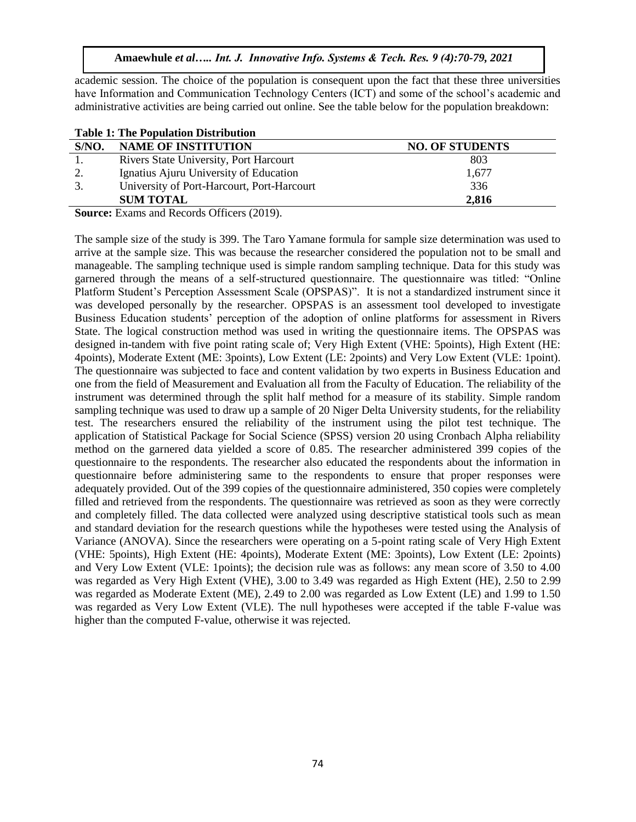academic session. The choice of the population is consequent upon the fact that these three universities have Information and Communication Technology Centers (ICT) and some of the school's academic and administrative activities are being carried out online. See the table below for the population breakdown:

| <b>Table 1: The Population Distribution</b> |                                            |                        |  |  |  |  |  |
|---------------------------------------------|--------------------------------------------|------------------------|--|--|--|--|--|
| S/NO.                                       | <b>NAME OF INSTITUTION</b>                 | <b>NO. OF STUDENTS</b> |  |  |  |  |  |
|                                             | Rivers State University, Port Harcourt     | 803                    |  |  |  |  |  |
|                                             | Ignatius Ajuru University of Education     | 1,677                  |  |  |  |  |  |
| 3.                                          | University of Port-Harcourt, Port-Harcourt | 336                    |  |  |  |  |  |
|                                             | <b>SUM TOTAL</b>                           | 2,816                  |  |  |  |  |  |
|                                             |                                            |                        |  |  |  |  |  |

**Source:** Exams and Records Officers (2019).

The sample size of the study is 399. The Taro Yamane formula for sample size determination was used to arrive at the sample size. This was because the researcher considered the population not to be small and manageable. The sampling technique used is simple random sampling technique. Data for this study was garnered through the means of a self-structured questionnaire. The questionnaire was titled: "Online Platform Student's Perception Assessment Scale (OPSPAS)". It is not a standardized instrument since it was developed personally by the researcher. OPSPAS is an assessment tool developed to investigate Business Education students' perception of the adoption of online platforms for assessment in Rivers State. The logical construction method was used in writing the questionnaire items. The OPSPAS was designed in-tandem with five point rating scale of; Very High Extent (VHE: 5points), High Extent (HE: 4points), Moderate Extent (ME: 3points), Low Extent (LE: 2points) and Very Low Extent (VLE: 1point). The questionnaire was subjected to face and content validation by two experts in Business Education and one from the field of Measurement and Evaluation all from the Faculty of Education. The reliability of the instrument was determined through the split half method for a measure of its stability. Simple random sampling technique was used to draw up a sample of 20 Niger Delta University students, for the reliability test. The researchers ensured the reliability of the instrument using the pilot test technique. The application of Statistical Package for Social Science (SPSS) version 20 using Cronbach Alpha reliability method on the garnered data yielded a score of 0.85. The researcher administered 399 copies of the questionnaire to the respondents. The researcher also educated the respondents about the information in questionnaire before administering same to the respondents to ensure that proper responses were adequately provided. Out of the 399 copies of the questionnaire administered, 350 copies were completely filled and retrieved from the respondents. The questionnaire was retrieved as soon as they were correctly and completely filled. The data collected were analyzed using descriptive statistical tools such as mean and standard deviation for the research questions while the hypotheses were tested using the Analysis of Variance (ANOVA). Since the researchers were operating on a 5-point rating scale of Very High Extent (VHE: 5points), High Extent (HE: 4points), Moderate Extent (ME: 3points), Low Extent (LE: 2points) and Very Low Extent (VLE: 1points); the decision rule was as follows: any mean score of 3.50 to 4.00 was regarded as Very High Extent (VHE), 3.00 to 3.49 was regarded as High Extent (HE), 2.50 to 2.99 was regarded as Moderate Extent (ME), 2.49 to 2.00 was regarded as Low Extent (LE) and 1.99 to 1.50 was regarded as Very Low Extent (VLE). The null hypotheses were accepted if the table F-value was higher than the computed F-value, otherwise it was rejected.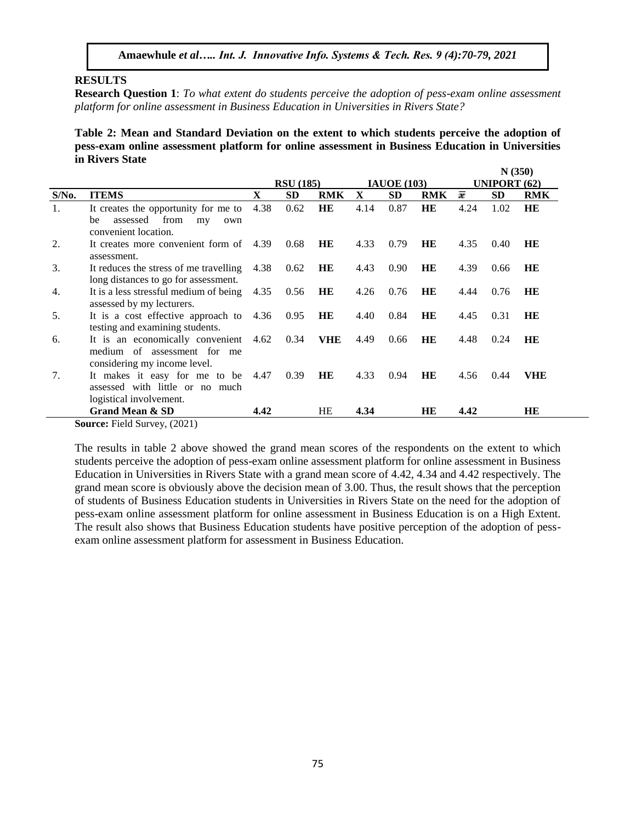## **RESULTS**

**Research Question 1**: *To what extent do students perceive the adoption of pess-exam online assessment platform for online assessment in Business Education in Universities in Rivers State?*

**Table 2: Mean and Standard Deviation on the extent to which students perceive the adoption of pess-exam online assessment platform for online assessment in Business Education in Universities in Rivers State**

 **N (350)**

|          |                                         |      |                  |            |                    |           |            | 1110001             |      |            |
|----------|-----------------------------------------|------|------------------|------------|--------------------|-----------|------------|---------------------|------|------------|
|          |                                         |      | <b>RSU</b> (185) |            | <b>IAUOE</b> (103) |           |            | <b>UNIPORT (62)</b> |      |            |
| $S/N0$ . | <b>ITEMS</b>                            | X    | <b>SD</b>        | <b>RMK</b> | X                  | <b>SD</b> | <b>RMK</b> | x                   | SD   | <b>RMK</b> |
| 1.       | It creates the opportunity for me to    | 4.38 | 0.62             | HE         | 4.14               | 0.87      | HE         | 4.24                | 1.02 | HE         |
|          | from<br>assessed<br>be<br>my<br>own     |      |                  |            |                    |           |            |                     |      |            |
|          | convenient location.                    |      |                  |            |                    |           |            |                     |      |            |
| 2.       | It creates more convenient form of 4.39 |      | 0.68             | HE         | 4.33               | 0.79      | HE         | 4.35                | 0.40 | HE         |
|          | assessment.                             |      |                  |            |                    |           |            |                     |      |            |
| 3.       | It reduces the stress of me travelling  | 4.38 | 0.62             | HE         | 4.43               | 0.90      | HE         | 4.39                | 0.66 | HE         |
|          | long distances to go for assessment.    |      |                  |            |                    |           |            |                     |      |            |
| 4.       | It is a less stressful medium of being  | 4.35 | 0.56             | HE         | 4.26               | 0.76      | HE         | 0.76<br>4.44        |      | HE         |
|          | assessed by my lecturers.               |      |                  |            |                    |           |            |                     |      |            |
| .5.      | It is a cost effective approach to 4.36 |      | 0.95             | HE         | 4.40               | 0.84      | HE         | 4.45<br>0.31        |      | HE         |
|          | testing and examining students.         |      |                  |            |                    |           |            |                     |      |            |
| 6.       | It is an economically convenient 4.62   |      | 0.34             | <b>VHE</b> | 4.49               | 0.66      | HE         | 4.48                | 0.24 | HE         |
|          | medium of assessment for me             |      |                  |            |                    |           |            |                     |      |            |
|          | considering my income level.            |      |                  |            |                    |           |            |                     |      |            |
| 7.       | It makes it easy for me to be 4.47      |      | 0.39             | HE         | 4.33               | 0.94      | HE         | 4.56                | 0.44 | VHE        |
|          | assessed with little or no much         |      |                  |            |                    |           |            |                     |      |            |
|          | logistical involvement.                 |      |                  |            |                    |           |            |                     |      |            |
|          | <b>Grand Mean &amp; SD</b>              | 4.42 |                  | HE         | 4.34               |           | HE         | 4.42                |      | HE         |
|          | $\sqrt{2}$                              |      |                  |            |                    |           |            |                     |      |            |

**Source:** Field Survey, (2021)

The results in table 2 above showed the grand mean scores of the respondents on the extent to which students perceive the adoption of pess-exam online assessment platform for online assessment in Business Education in Universities in Rivers State with a grand mean score of 4.42, 4.34 and 4.42 respectively. The grand mean score is obviously above the decision mean of 3.00. Thus, the result shows that the perception of students of Business Education students in Universities in Rivers State on the need for the adoption of pess-exam online assessment platform for online assessment in Business Education is on a High Extent. The result also shows that Business Education students have positive perception of the adoption of pessexam online assessment platform for assessment in Business Education.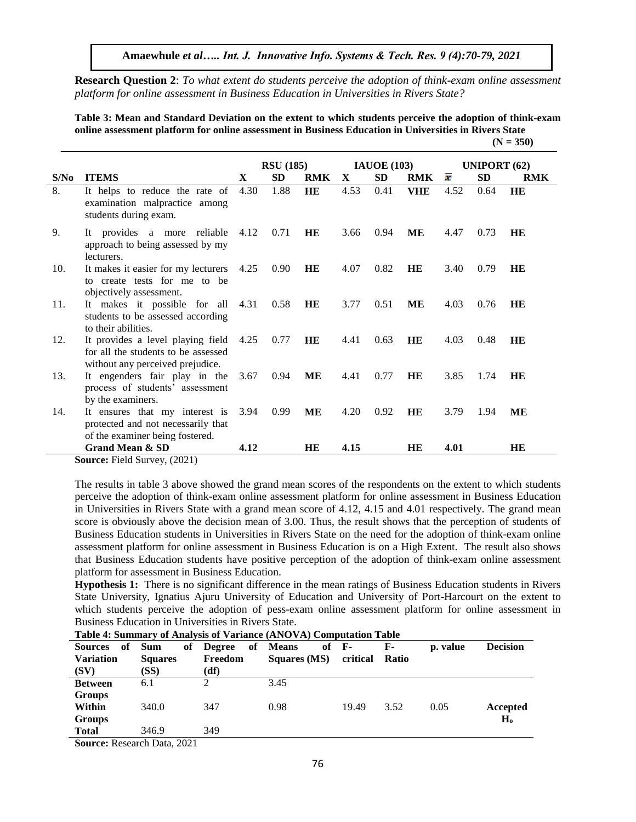**Amaewhule** *et al….. Int. J. Innovative Info. Systems & Tech. Res. 9 (4):70-79, 2021* 

**Research Question 2**: *To what extent do students perceive the adoption of think-exam online assessment platform for online assessment in Business Education in Universities in Rivers State?* 

**Table 3: Mean and Standard Deviation on the extent to which students perceive the adoption of think-exam online assessment platform for online assessment in Business Education in Universities in Rivers State (N = 350)**

|      |                                                                                                                   | <b>RSU</b> (185) |           |            | <b>IAUOE</b> (103) |           |            | UNIPORT $(62)$ |           |            |
|------|-------------------------------------------------------------------------------------------------------------------|------------------|-----------|------------|--------------------|-----------|------------|----------------|-----------|------------|
| S/No | <b>ITEMS</b>                                                                                                      | X                | <b>SD</b> | <b>RMK</b> | X                  | <b>SD</b> | <b>RMK</b> | x              | <b>SD</b> | <b>RMK</b> |
| 8.   | It helps to reduce the rate of<br>examination malpractice among<br>students during exam.                          | 4.30             | 1.88      | HE         | 4.53               | 0.41      | <b>VHE</b> | 4.52           | 0.64      | HE         |
| 9.   | It provides a more reliable 4.12<br>approach to being assessed by my<br>lecturers.                                |                  | 0.71      | HE         | 3.66               | 0.94      | MЕ         | 4.47           | 0.73      | HE         |
| 10.  | It makes it easier for my lecturers<br>to create tests for me to be<br>objectively assessment.                    | 4.25             | 0.90      | HE         | 4.07               | 0.82      | HE         | 3.40           | 0.79      | HE         |
| 11.  | It makes it possible for all<br>students to be assessed according<br>to their abilities.                          | 4.31             | 0.58      | HE         | 3.77               | 0.51      | MЕ         | 4.03           | 0.76      | HE         |
| 12.  | It provides a level playing field 4.25<br>for all the students to be assessed<br>without any perceived prejudice. |                  | 0.77      | HE         | 4.41               | 0.63      | <b>HE</b>  | 4.03           | 0.48      | HE         |
| 13.  | It engenders fair play in the<br>process of students' assessment<br>by the examiners.                             | 3.67             | 0.94      | MЕ         | 4.41               | 0.77      | HE         | 3.85           | 1.74      | <b>HE</b>  |
| 14.  | It ensures that my interest is<br>protected and not necessarily that<br>of the examiner being fostered.           | 3.94             | 0.99      | MЕ         | 4.20               | 0.92      | HE         | 3.79           | 1.94      | MЕ         |
|      | <b>Grand Mean &amp; SD</b>                                                                                        | 4.12             |           | HE         | 4.15               |           | HE         | 4.01           |           | HB.        |

**Source:** Field Survey, (2021)

The results in table 3 above showed the grand mean scores of the respondents on the extent to which students perceive the adoption of think-exam online assessment platform for online assessment in Business Education in Universities in Rivers State with a grand mean score of 4.12, 4.15 and 4.01 respectively. The grand mean score is obviously above the decision mean of 3.00. Thus, the result shows that the perception of students of Business Education students in Universities in Rivers State on the need for the adoption of think-exam online assessment platform for online assessment in Business Education is on a High Extent. The result also shows that Business Education students have positive perception of the adoption of think-exam online assessment platform for assessment in Business Education.

**Hypothesis 1:** There is no significant difference in the mean ratings of Business Education students in Rivers State University, Ignatius Ajuru University of Education and University of Port-Harcourt on the extent to which students perceive the adoption of pess-exam online assessment platform for online assessment in Business Education in Universities in Rivers State.

| Tubic + Dummury or Amarybis or variance (Article via) Computation Tubic |                |           |                               |          |       |          |                 |  |  |  |
|-------------------------------------------------------------------------|----------------|-----------|-------------------------------|----------|-------|----------|-----------------|--|--|--|
| Sources of                                                              | <b>Sum</b>     | of Degree | of Means<br>of $\mathbf{F}$ - |          | F-    | p. value | <b>Decision</b> |  |  |  |
| <b>Variation</b>                                                        | <b>Squares</b> | Freedom   | Squares (MS)                  | critical | Ratio |          |                 |  |  |  |
| (SV)                                                                    | (SS)           | (df)      |                               |          |       |          |                 |  |  |  |
| <b>Between</b>                                                          | 6.1            | 2         | 3.45                          |          |       |          |                 |  |  |  |
| <b>Groups</b>                                                           |                |           |                               |          |       |          |                 |  |  |  |
| Within                                                                  | 340.0          | 347       | 0.98                          | 19.49    | 3.52  | 0.05     | Accepted        |  |  |  |
| <b>Groups</b>                                                           |                |           |                               |          |       |          | H <sub>o</sub>  |  |  |  |
| <b>Total</b>                                                            | 346.9          | 349       |                               |          |       |          |                 |  |  |  |

**Table 4: Summary of Analysis of Variance (ANOVA) Computation Table** 

**Source:** Research Data, 2021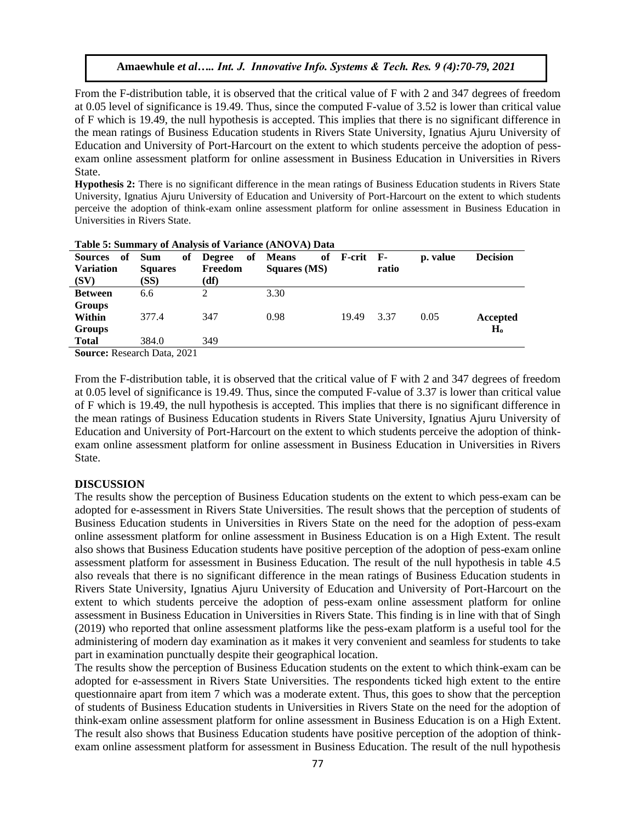From the F-distribution table, it is observed that the critical value of F with 2 and 347 degrees of freedom at 0.05 level of significance is 19.49. Thus, since the computed F-value of 3.52 is lower than critical value of F which is 19.49, the null hypothesis is accepted. This implies that there is no significant difference in the mean ratings of Business Education students in Rivers State University, Ignatius Ajuru University of Education and University of Port-Harcourt on the extent to which students perceive the adoption of pessexam online assessment platform for online assessment in Business Education in Universities in Rivers State.

**Hypothesis 2:** There is no significant difference in the mean ratings of Business Education students in Rivers State University, Ignatius Ajuru University of Education and University of Port-Harcourt on the extent to which students perceive the adoption of think-exam online assessment platform for online assessment in Business Education in Universities in Rivers State.

| Sources of                                                                                                                                                                                                                                                                                                                             | of<br><b>Sum</b> | <b>Degree</b> | of Means            | of F-crit F- |       | p. value | <b>Decision</b> |  |  |
|----------------------------------------------------------------------------------------------------------------------------------------------------------------------------------------------------------------------------------------------------------------------------------------------------------------------------------------|------------------|---------------|---------------------|--------------|-------|----------|-----------------|--|--|
| <b>Variation</b>                                                                                                                                                                                                                                                                                                                       | <b>Squares</b>   | Freedom       | <b>Squares (MS)</b> |              | ratio |          |                 |  |  |
| (SV)                                                                                                                                                                                                                                                                                                                                   | (SS)             | (df)          |                     |              |       |          |                 |  |  |
| <b>Between</b>                                                                                                                                                                                                                                                                                                                         | 6.6              |               | 3.30                |              |       |          |                 |  |  |
| <b>Groups</b>                                                                                                                                                                                                                                                                                                                          |                  |               |                     |              |       |          |                 |  |  |
| Within                                                                                                                                                                                                                                                                                                                                 | 377.4            | 347           | 0.98                | 19.49        | 3.37  | 0.05     | Accepted        |  |  |
| <b>Groups</b>                                                                                                                                                                                                                                                                                                                          |                  |               |                     |              |       |          | H <sub>o</sub>  |  |  |
| <b>Total</b>                                                                                                                                                                                                                                                                                                                           | 384.0            | 349           |                     |              |       |          |                 |  |  |
| $R_{\text{2}}$ $R_{\text{3}}$ $R_{\text{4}}$ $R_{\text{5}}$ $R_{\text{6}}$ $R_{\text{7}}$ $R_{\text{8}}$ $R_{\text{9}}$ $R_{\text{1}}$ $R_{\text{10}}$ $R_{\text{10}}$ $R_{\text{11}}$ $R_{\text{14}}$ $R_{\text{10}}$ $R_{\text{11}}$ $R_{\text{14}}$ $R_{\text{10}}$ $R_{\text{11}}$ $R_{\text{12}}$ $R_{\text{13}}$ $R_{\text{14}}$ |                  |               |                     |              |       |          |                 |  |  |

**Table 5: Summary of Analysis of Variance (ANOVA) Data** 

**Source:** Research Data, 2021

From the F-distribution table, it is observed that the critical value of F with 2 and 347 degrees of freedom at 0.05 level of significance is 19.49. Thus, since the computed F-value of 3.37 is lower than critical value of F which is 19.49, the null hypothesis is accepted. This implies that there is no significant difference in the mean ratings of Business Education students in Rivers State University, Ignatius Ajuru University of Education and University of Port-Harcourt on the extent to which students perceive the adoption of thinkexam online assessment platform for online assessment in Business Education in Universities in Rivers State.

#### **DISCUSSION**

The results show the perception of Business Education students on the extent to which pess-exam can be adopted for e-assessment in Rivers State Universities. The result shows that the perception of students of Business Education students in Universities in Rivers State on the need for the adoption of pess-exam online assessment platform for online assessment in Business Education is on a High Extent. The result also shows that Business Education students have positive perception of the adoption of pess-exam online assessment platform for assessment in Business Education. The result of the null hypothesis in table 4.5 also reveals that there is no significant difference in the mean ratings of Business Education students in Rivers State University, Ignatius Ajuru University of Education and University of Port-Harcourt on the extent to which students perceive the adoption of pess-exam online assessment platform for online assessment in Business Education in Universities in Rivers State. This finding is in line with that of Singh (2019) who reported that online assessment platforms like the pess-exam platform is a useful tool for the administering of modern day examination as it makes it very convenient and seamless for students to take part in examination punctually despite their geographical location.

The results show the perception of Business Education students on the extent to which think-exam can be adopted for e-assessment in Rivers State Universities. The respondents ticked high extent to the entire questionnaire apart from item 7 which was a moderate extent. Thus, this goes to show that the perception of students of Business Education students in Universities in Rivers State on the need for the adoption of think-exam online assessment platform for online assessment in Business Education is on a High Extent. The result also shows that Business Education students have positive perception of the adoption of thinkexam online assessment platform for assessment in Business Education. The result of the null hypothesis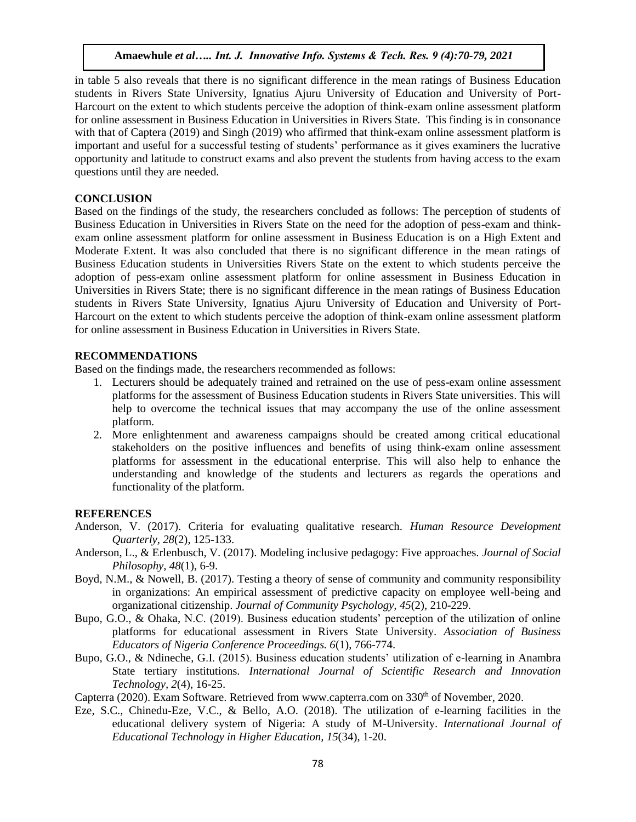in table 5 also reveals that there is no significant difference in the mean ratings of Business Education students in Rivers State University, Ignatius Ajuru University of Education and University of Port-Harcourt on the extent to which students perceive the adoption of think-exam online assessment platform for online assessment in Business Education in Universities in Rivers State. This finding is in consonance with that of Captera (2019) and Singh (2019) who affirmed that think-exam online assessment platform is important and useful for a successful testing of students' performance as it gives examiners the lucrative opportunity and latitude to construct exams and also prevent the students from having access to the exam questions until they are needed.

## **CONCLUSION**

Based on the findings of the study, the researchers concluded as follows: The perception of students of Business Education in Universities in Rivers State on the need for the adoption of pess-exam and thinkexam online assessment platform for online assessment in Business Education is on a High Extent and Moderate Extent. It was also concluded that there is no significant difference in the mean ratings of Business Education students in Universities Rivers State on the extent to which students perceive the adoption of pess-exam online assessment platform for online assessment in Business Education in Universities in Rivers State; there is no significant difference in the mean ratings of Business Education students in Rivers State University, Ignatius Ajuru University of Education and University of Port-Harcourt on the extent to which students perceive the adoption of think-exam online assessment platform for online assessment in Business Education in Universities in Rivers State.

## **RECOMMENDATIONS**

Based on the findings made, the researchers recommended as follows:

- 1. Lecturers should be adequately trained and retrained on the use of pess-exam online assessment platforms for the assessment of Business Education students in Rivers State universities. This will help to overcome the technical issues that may accompany the use of the online assessment platform.
- 2. More enlightenment and awareness campaigns should be created among critical educational stakeholders on the positive influences and benefits of using think-exam online assessment platforms for assessment in the educational enterprise. This will also help to enhance the understanding and knowledge of the students and lecturers as regards the operations and functionality of the platform.

#### **REFERENCES**

- Anderson, V. (2017). Criteria for evaluating qualitative research. *Human Resource Development Quarterly, 28*(2), 125-133.
- Anderson, L., & Erlenbusch, V. (2017). Modeling inclusive pedagogy: Five approaches. *Journal of Social Philosophy, 48*(1), 6-9.
- Boyd, N.M., & Nowell, B. (2017). Testing a theory of sense of community and community responsibility in organizations: An empirical assessment of predictive capacity on employee well-being and organizational citizenship. *Journal of Community Psychology, 45*(2), 210-229.
- Bupo, G.O., & Ohaka, N.C. (2019). Business education students' perception of the utilization of online platforms for educational assessment in Rivers State University. *Association of Business Educators of Nigeria Conference Proceedings. 6*(1), 766-774.
- Bupo, G.O., & Ndineche, G.I. (2015). Business education students' utilization of e-learning in Anambra State tertiary institutions. *International Journal of Scientific Research and Innovation Technology, 2*(4), 16-25.

Capterra (2020). Exam Software. Retrieved fro[m www.capterra.com](http://www.capterra.com/) on 330<sup>th</sup> of November, 2020.

Eze, S.C., Chinedu-Eze, V.C., & Bello, A.O. (2018). The utilization of e-learning facilities in the educational delivery system of Nigeria: A study of M-University. *International Journal of Educational Technology in Higher Education, 15*(34), 1-20.